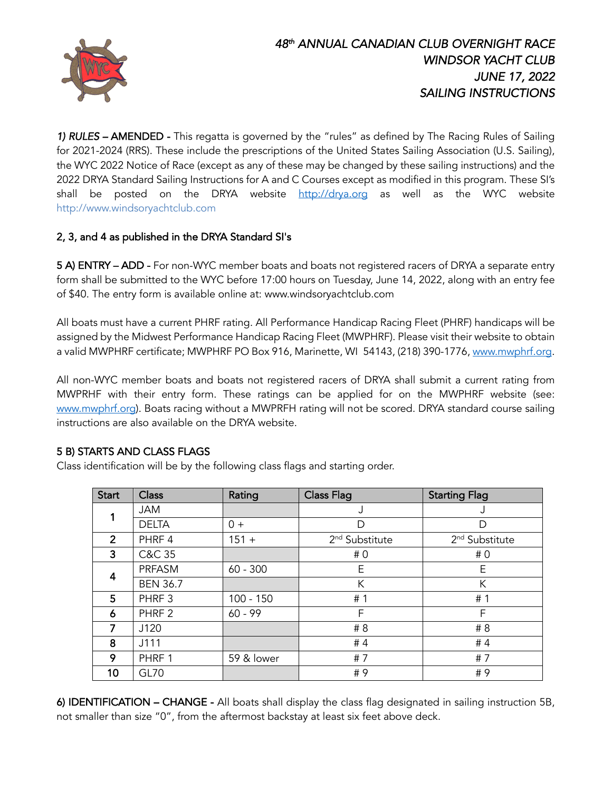

*1) RULES –* AMENDED -This regatta is governed by the "rules" as defined by The Racing Rules of Sailing for 2021-2024 (RRS). These include the prescriptions of the United States Sailing Association (U.S. Sailing), the WYC 2022 Notice of Race (except as any of these may be changed by these sailing instructions) and the 2022 DRYA Standard Sailing Instructions for A and C Courses except as modified in this program. These SI's shall be posted on the DRYA website http://drya.org as well as the WYC website http://www.windsoryachtclub.com

## 2, 3, and 4 as published in the DRYA Standard SI's

5 A) ENTRY – ADD - For non-WYC member boats and boats not registered racers of DRYA a separate entry form shall be submitted to the WYC before 17:00 hours on Tuesday, June 14, 2022, along with an entry fee of \$40. The entry form is available online at: www.windsoryachtclub.com

All boats must have a current PHRF rating. All Performance Handicap Racing Fleet (PHRF) handicaps will be assigned by the Midwest Performance Handicap Racing Fleet (MWPHRF). Please visit their website to obtain a valid MWPHRF certificate; MWPHRF PO Box 916, Marinette, WI 54143, (218) 390-1776, www.mwphrf.org.

All non-WYC member boats and boats not registered racers of DRYA shall submit a current rating from MWPRHF with their entry form. These ratings can be applied for on the MWPHRF website (see: www.mwphrf.org). Boats racing without a MWPRFH rating will not be scored. DRYA standard course sailing instructions are also available on the DRYA website.

## 5 B) STARTS AND CLASS FLAGS

Class identification will be by the following class flags and starting order.

| <b>Start</b>   | <b>Class</b>      | Rating      | <b>Class Flag</b>          | <b>Starting Flag</b>       |
|----------------|-------------------|-------------|----------------------------|----------------------------|
|                | <b>JAM</b>        |             | J                          |                            |
|                | <b>DELTA</b>      | $0 +$       | D                          | D                          |
| $\overline{2}$ | PHRF 4            | $151 +$     | 2 <sup>nd</sup> Substitute | 2 <sup>nd</sup> Substitute |
| 3              | C&C 35            |             | #0                         | #0                         |
| 4              | PRFASM            | $60 - 300$  | E                          | E                          |
|                | <b>BEN 36.7</b>   |             | К                          | К                          |
| 5              | PHRF <sub>3</sub> | $100 - 150$ | # 1                        | #1                         |
| 6              | PHRF <sub>2</sub> | $60 - 99$   | F                          | F                          |
| 7              | J120              |             | # 8                        | # 8                        |
| 8              | J111              |             | #4                         | #4                         |
| 9              | PHRF 1            | 59 & lower  | #7                         | #7                         |
| 10             | <b>GL70</b>       |             | #9                         | #9                         |

6) IDENTIFICATION – CHANGE - All boats shall display the class flag designated in sailing instruction 5B, not smaller than size "0", from the aftermost backstay at least six feet above deck.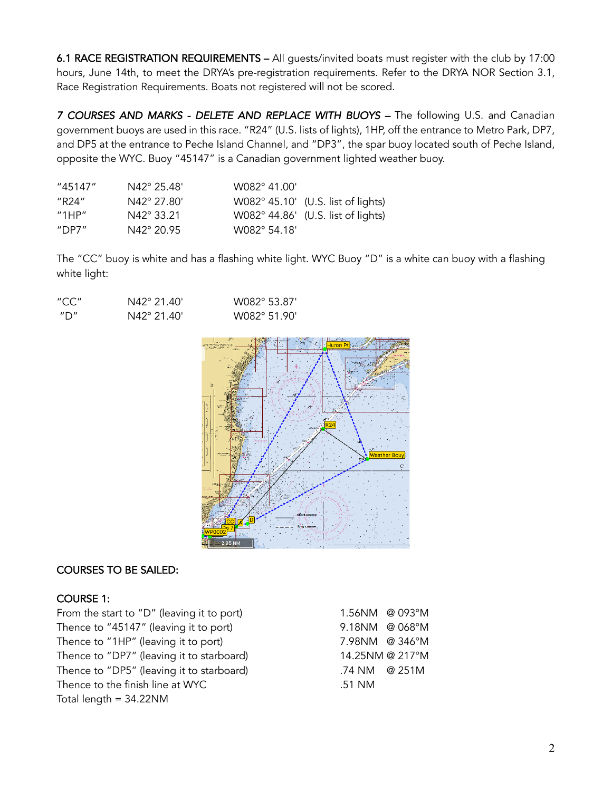6.1 RACE REGISTRATION REQUIREMENTS – All guests/invited boats must register with the club by 17:00 hours, June 14th, to meet the DRYA's pre-registration requirements. Refer to the DRYA NOR Section 3.1, Race Registration Requirements. Boats not registered will not be scored.

7 COURSES AND MARKS - DELETE AND REPLACE WITH BUOYS - The following U.S. and Canadian government buoys areused in this race. "R24" (U.S. lists of lights), 1HP, off the entrance to Metro Park, DP7, and DP5 at the entrance to Peche Island Channel, and "DP3", the spar buoy located south of Peche Island, opposite the WYC. Buoy "45147" is a Canadian government lighted weather buoy.

| "45147"                                 | $N42^{\circ}$ 25.48' | W082° 41.00' |                                    |
|-----------------------------------------|----------------------|--------------|------------------------------------|
| "R24"                                   | N42° 27.80'          |              | W082° 45.10' (U.S. list of lights) |
| $^{\prime\prime}$ 1HP $^{\prime\prime}$ | N42° 33.21           |              | W082° 44.86' (U.S. list of lights) |
| "DP7 $\mathrm{^{\prime\prime}}$         | $N42^{\circ} 20.95$  | W082° 54.18' |                                    |

The "CC" buoy is white and has a flashing white light. WYC Buoy "D" is a white can buoy with a flashing white light:

| "CC" | N42° 21.40' | W082° 53.87' |
|------|-------------|--------------|
| "מ"  | N42° 21.40' | W082° 51.90' |



## COURSES TO BE SAILED:

## COURSE 1:

From the start to "D" (leaving it to port) 1.56NM @ 093°M Thence to "45147" (leaving it to port) 9.18NM @ 068°M Thence to "1HP" (leaving it to port) 7.98NM @ 346°M Thence to "DP7" (leaving it to starboard) 14.25NM @ 217°M Thence to "DP5" (leaving it to starboard) .74 NM @ 251M Thence to the finish line at WYC .51 NM Total length = 34.22NM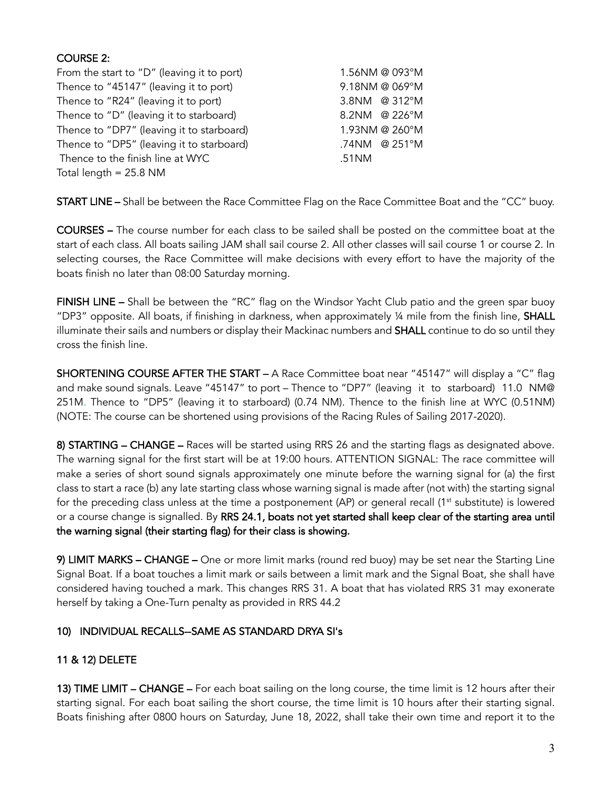# COURSE 2:

| From the start to "D" (leaving it to port) | 1.56NM @ 093°M |
|--------------------------------------------|----------------|
| Thence to "45147" (leaving it to port)     | 9.18NM @ 069°M |
| Thence to "R24" (leaving it to port)       | 3.8NM @ 312°M  |
| Thence to "D" (leaving it to starboard)    | 8.2NM @ 226°M  |
| Thence to "DP7" (leaving it to starboard)  | 1.93NM @ 260°M |
| Thence to "DP5" (leaving it to starboard)  | .74NM @ 251°M  |
| Thence to the finish line at WYC           | .51NM          |
| Total length $= 25.8$ NM                   |                |

START LINE – Shall be between the Race Committee Flag on the Race Committee Boat and the "CC" buoy.

COURSES – The course number for each class to be sailed shall be posted on the committee boat at the start of each class. All boats sailing JAM shall sail course 2. All other classes will sail course 1 or course 2. In selecting courses, the Race Committee will make decisions with every effort to have the majority of the boats finish no later than 08:00 Saturday morning.

FINISH LINE - Shall be between the "RC" flag on the Windsor Yacht Club patio and the green spar buoy "DP3" opposite. All boats, if finishing in darkness, when approximately  $\frac{1}{4}$  mile from the finish line, SHALL illuminate their sails and numbers or display their Mackinac numbers and SHALL continue to do so until they cross the finish line.

SHORTENING COURSE AFTER THE START – A Race Committee boat near "45147" will display a "C" flag and make sound signals. Leave "45147" to port – Thence to "DP7" (leaving it to starboard) 11.0 NM@ 251M. Thence to "DP5" (leaving it to starboard) (0.74 NM). Thence to the finish line at WYC (0.51NM) (NOTE: The course can be shortened using provisions of the Racing Rules of Sailing 2017-2020).

8) STARTING - CHANGE - Races will be started using RRS 26 and the starting flags as designated above. The warning signal for the first start will be at 19:00 hours. ATTENTION SIGNAL: The race committee will make a series of short sound signals approximately one minute before the warning signal for (a) the first class to start a race (b) any late starting class whose warning signal is made after (not with) the starting signal for the preceding class unless at the time a postponement  $AP$ ) or general recall  $(1<sup>st</sup>$  substitute) is lowered or a course change is signalled. By RRS 24.1, boats not yet started shall keep clear of the starting area until the warning signal (their starting flag) for their class is showing.

9) LIMIT MARKS - CHANGE - One or more limit marks (round red buoy) may be set near the Starting Line Signal Boat. If a boat touches a limit mark or sails between a limit mark and the Signal Boat, she shall have considered having touched a mark. This changes RRS 31. A boat that has violated RRS 31 may exonerate herself by taking a One-Turn penalty as provided in RRS 44.2

## 10) INDIVIDUAL RECALLS--SAME AS STANDARD DRYA SI's

## 11 & 12) DELETE

13) TIME LIMIT – CHANGE – For each boat sailing on the long course, the time limit is 12 hours after their starting signal. For each boat sailing the short course, the time limit is 10 hours after their starting signal. Boats finishing after 0800 hours on Saturday, June 18, 2022, shall take their own time and report it to the